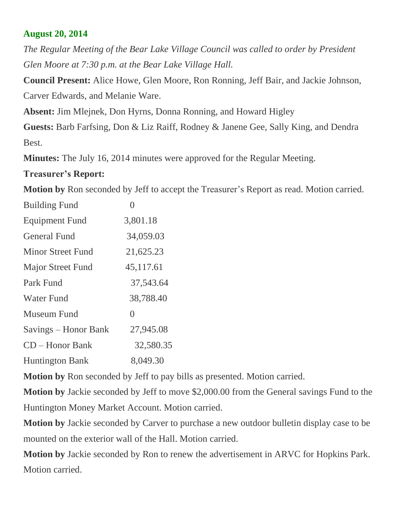## **August 20, 2014**

*The Regular Meeting of the Bear Lake Village Council was called to order by President Glen Moore at 7:30 p.m. at the Bear Lake Village Hall.*

**Council Present:** Alice Howe, Glen Moore, Ron Ronning, Jeff Bair, and Jackie Johnson, Carver Edwards, and Melanie Ware.

**Absent:** Jim Mlejnek, Don Hyrns, Donna Ronning, and Howard Higley

**Guests:** Barb Farfsing, Don & Liz Raiff, Rodney & Janene Gee, Sally King, and Dendra Best.

**Minutes:** The July 16, 2014 minutes were approved for the Regular Meeting.

## **Treasurer's Report:**

**Motion by** Ron seconded by Jeff to accept the Treasurer's Report as read. Motion carried.

| <b>Building Fund</b>     |           |
|--------------------------|-----------|
| <b>Equipment Fund</b>    | 3,801.18  |
| <b>General Fund</b>      | 34,059.03 |
| <b>Minor Street Fund</b> | 21,625.23 |
| <b>Major Street Fund</b> | 45,117.61 |
| Park Fund                | 37,543.64 |
| <b>Water Fund</b>        | 38,788.40 |
| Museum Fund              | 0         |
| Savings – Honor Bank     | 27,945.08 |
| CD - Honor Bank          | 32,580.35 |
| <b>Huntington Bank</b>   | 8,049.30  |
|                          |           |

**Motion by** Ron seconded by Jeff to pay bills as presented. Motion carried.

**Motion by** Jackie seconded by Jeff to move \$2,000.00 from the General savings Fund to the Huntington Money Market Account. Motion carried.

**Motion by** Jackie seconded by Carver to purchase a new outdoor bulletin display case to be mounted on the exterior wall of the Hall. Motion carried.

**Motion by** Jackie seconded by Ron to renew the advertisement in ARVC for Hopkins Park. Motion carried.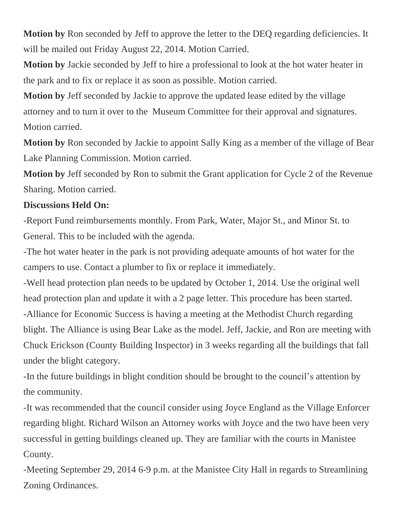**Motion by** Ron seconded by Jeff to approve the letter to the DEQ regarding deficiencies. It will be mailed out Friday August 22, 2014. Motion Carried.

**Motion by** Jackie seconded by Jeff to hire a professional to look at the hot water heater in the park and to fix or replace it as soon as possible. Motion carried.

**Motion by** Jeff seconded by Jackie to approve the updated lease edited by the village attorney and to turn it over to the Museum Committee for their approval and signatures. Motion carried.

**Motion by** Ron seconded by Jackie to appoint Sally King as a member of the village of Bear Lake Planning Commission. Motion carried.

**Motion by** Jeff seconded by Ron to submit the Grant application for Cycle 2 of the Revenue Sharing. Motion carried.

## **Discussions Held On:**

-Report Fund reimbursements monthly. From Park, Water, Major St., and Minor St. to General. This to be included with the agenda.

-The hot water heater in the park is not providing adequate amounts of hot water for the campers to use. Contact a plumber to fix or replace it immediately.

-Well head protection plan needs to be updated by October 1, 2014. Use the original well head protection plan and update it with a 2 page letter. This procedure has been started. -Alliance for Economic Success is having a meeting at the Methodist Church regarding blight. The Alliance is using Bear Lake as the model. Jeff, Jackie, and Ron are meeting with Chuck Erickson (County Building Inspector) in 3 weeks regarding all the buildings that fall under the blight category.

-In the future buildings in blight condition should be brought to the council's attention by the community.

-It was recommended that the council consider using Joyce England as the Village Enforcer regarding blight. Richard Wilson an Attorney works with Joyce and the two have been very successful in getting buildings cleaned up. They are familiar with the courts in Manistee County.

-Meeting September 29, 2014 6-9 p.m. at the Manistee City Hall in regards to Streamlining Zoning Ordinances.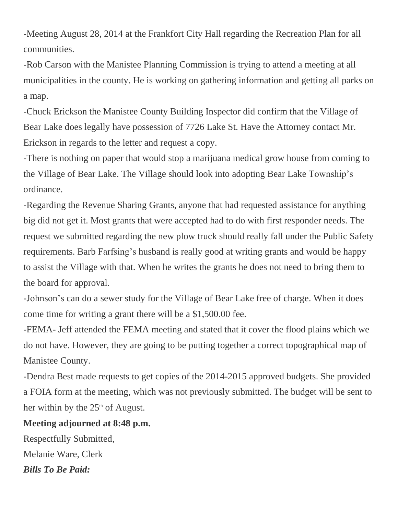-Meeting August 28, 2014 at the Frankfort City Hall regarding the Recreation Plan for all communities.

-Rob Carson with the Manistee Planning Commission is trying to attend a meeting at all municipalities in the county. He is working on gathering information and getting all parks on a map.

-Chuck Erickson the Manistee County Building Inspector did confirm that the Village of Bear Lake does legally have possession of 7726 Lake St. Have the Attorney contact Mr. Erickson in regards to the letter and request a copy.

-There is nothing on paper that would stop a marijuana medical grow house from coming to the Village of Bear Lake. The Village should look into adopting Bear Lake Township's ordinance.

-Regarding the Revenue Sharing Grants, anyone that had requested assistance for anything big did not get it. Most grants that were accepted had to do with first responder needs. The request we submitted regarding the new plow truck should really fall under the Public Safety requirements. Barb Farfsing's husband is really good at writing grants and would be happy to assist the Village with that. When he writes the grants he does not need to bring them to the board for approval.

-Johnson's can do a sewer study for the Village of Bear Lake free of charge. When it does come time for writing a grant there will be a \$1,500.00 fee.

-FEMA- Jeff attended the FEMA meeting and stated that it cover the flood plains which we do not have. However, they are going to be putting together a correct topographical map of Manistee County.

-Dendra Best made requests to get copies of the 2014-2015 approved budgets. She provided a FOIA form at the meeting, which was not previously submitted. The budget will be sent to her within by the  $25<sup>th</sup>$  of August.

## **Meeting adjourned at 8:48 p.m.**

Respectfully Submitted, Melanie Ware, Clerk *Bills To Be Paid:*